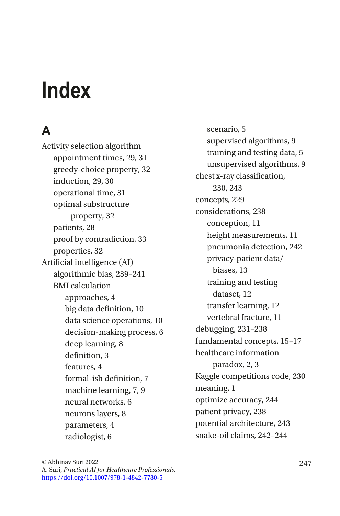# **Index**

# **A**

Activity selection algorithm appointment times, 29, 31 greedy-choice property, 32 induction, 29, 30 operational time, 31 optimal substructure property, 32 patients, 28 proof by contradiction, 33 properties, 32 Artificial intelligence (AI) algorithmic bias, 239–241 BMI calculation approaches, 4 big data definition, 10 data science operations, 10 decision-making process, 6 deep learning, 8 definition, 3 features, 4 formal-ish definition, 7 machine learning, 7, 9 neural networks, 6 neurons layers, 8 parameters, 4 radiologist, 6

scenario, 5 supervised algorithms, 9 training and testing data, 5 unsupervised algorithms, 9 chest x-ray classification, 230, 243 concepts, 229 considerations, 238 conception, 11 height measurements, 11 pneumonia detection, 242 privacy-patient data/ biases, 13 training and testing dataset, 12 transfer learning, 12 vertebral fracture, 11 debugging, 231–238 fundamental concepts, 15–17 healthcare information paradox, 2, 3 Kaggle competitions code, 230 meaning, 1 optimize accuracy, 244 patient privacy, 238 potential architecture, 243 snake-oil claims, 242–244

© Abhinav Suri 2022 247 A. Suri, *Practical AI for Healthcare Professionals*, [https://doi.org/10.1007/978-1-4842-7780-5](https://doi.org/10.1007/978-1-4842-7780-5#DOI)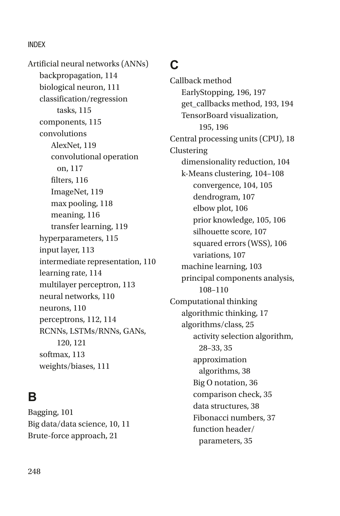Artificial neural networks (ANNs) backpropagation, 114 biological neuron, 111 classification/regression tasks, 115 components, 115 convolutions AlexNet, 119 convolutional operation on, 117 filters, 116 ImageNet, 119 max pooling, 118 meaning, 116 transfer learning, 119 hyperparameters, 115 input layer, 113 intermediate representation, 110 learning rate, 114 multilayer perceptron, 113 neural networks, 110 neurons, 110 perceptrons, 112, 114 RCNNs, LSTMs/RNNs, GANs, 120, 121 softmax, 113 weights/biases, 111

### **B**

Bagging, 101 Big data/data science, 10, 11 Brute-force approach, 21

### **C**

Callback method EarlyStopping, 196, 197 get\_callbacks method, 193, 194 TensorBoard visualization, 195, 196 Central processing units (CPU), 18 Clustering dimensionality reduction, 104 k-Means clustering, 104–108 convergence, 104, 105 dendrogram, 107 elbow plot, 106 prior knowledge, 105, 106 silhouette score, 107 squared errors (WSS), 106 variations, 107 machine learning, 103 principal components analysis, 108–110 Computational thinking algorithmic thinking, 17 algorithms/class, 25 activity selection algorithm, 28–33, 35 approximation algorithms, 38 Big O notation, 36 comparison check, 35 data structures, 38 Fibonacci numbers, 37 function header/ parameters, 35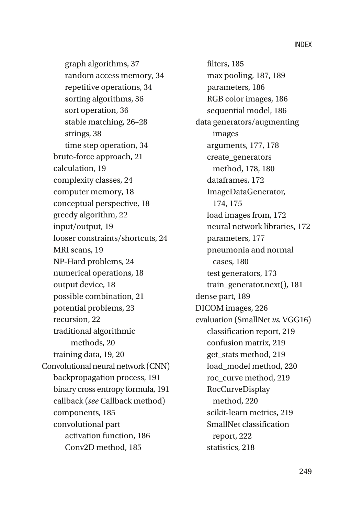graph algorithms, 37 random access memory, 34 repetitive operations, 34 sorting algorithms, 36 sort operation, 36 stable matching, 26–28 strings, 38 time step operation, 34 brute-force approach, 21 calculation, 19 complexity classes, 24 computer memory, 18 conceptual perspective, 18 greedy algorithm, 22 input/output, 19 looser constraints/shortcuts, 24 MRI scans, 19 NP-Hard problems, 24 numerical operations, 18 output device, 18 possible combination, 21 potential problems, 23 recursion, 22 traditional algorithmic methods, 20 training data, 19, 20 Convolutional neural network (CNN) backpropagation process, 191 binary cross entropy formula, 191 callback (*see* Callback method) components, 185 convolutional part activation function, 186 Conv2D method, 185

filters, 185 max pooling, 187, 189 parameters, 186 RGB color images, 186 sequential model, 186 data generators/augmenting images arguments, 177, 178 create\_generators method, 178, 180 dataframes, 172 ImageDataGenerator, 174, 175 load images from, 172 neural network libraries, 172 parameters, 177 pneumonia and normal cases, 180 test generators, 173 train\_generator.next(), 181 dense part, 189 DICOM images, 226 evaluation (SmallNet *vs.* VGG16) classification report, 219 confusion matrix, 219 get\_stats method, 219 load\_model method, 220 roc\_curve method, 219 RocCurveDisplay method, 220 scikit-learn metrics, 219 SmallNet classification report, 222 statistics, 218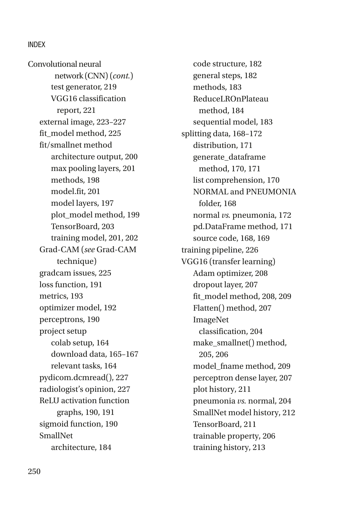test generator, 219 VGG16 classification report, 221 external image, 223–227 fit\_model method, 225 fit/smallnet method architecture output, 200 max pooling layers, 201 methods, 198 model.fit, 201 model layers, 197 plot\_model method, 199 TensorBoard, 203 training model, 201, 202 Grad-CAM (*see* Grad-CAM technique) gradcam issues, 225 loss function, 191 metrics, 193 optimizer model, 192 perceptrons, 190 project setup colab setup, 164 download data, 165–167 relevant tasks, 164 pydicom.dcmread(), 227 radiologist's opinion, 227 ReLU activation function graphs, 190, 191 sigmoid function, 190 SmallNet architecture, 184 Convolutional neural network (CNN) (*cont.*)

code structure, 182 general steps, 182 methods, 183 ReduceLROnPlateau method, 184 sequential model, 183 splitting data, 168–172 distribution, 171 generate\_dataframe method, 170, 171 list comprehension, 170 NORMAL and PNEUMONIA folder, 168 normal *vs.* pneumonia, 172 pd.DataFrame method, 171 source code, 168, 169 training pipeline, 226 VGG16 (transfer learning) Adam optimizer, 208 dropout layer, 207 fit\_model method, 208, 209 Flatten() method, 207 ImageNet classification, 204 make\_smallnet() method, 205, 206 model\_fname method, 209 perceptron dense layer, 207 plot history, 211 pneumonia *vs.* normal, 204 SmallNet model history, 212 TensorBoard, 211 trainable property, 206 training history, 213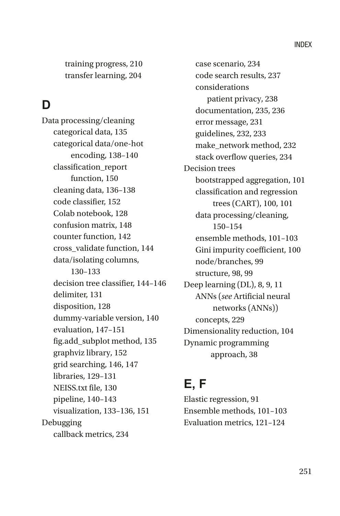training progress, 210 transfer learning, 204

# **D**

Data processing/cleaning categorical data, 135 categorical data/one-hot encoding, 138–140 classification\_report function, 150 cleaning data, 136–138 code classifier, 152 Colab notebook, 128 confusion matrix, 148 counter function, 142 cross\_validate function, 144 data/isolating columns, 130–133 decision tree classifier, 144–146 delimiter, 131 disposition, 128 dummy-variable version, 140 evaluation, 147–151 fig.add\_subplot method, 135 graphviz library, 152 grid searching, 146, 147 libraries, 129–131 NEISS.txt file, 130 pipeline, 140–143 visualization, 133–136, 151 Debugging callback metrics, 234

case scenario, 234 code search results, 237 considerations patient privacy, 238 documentation, 235, 236 error message, 231 guidelines, 232, 233 make\_network method, 232 stack overflow queries, 234 Decision trees bootstrapped aggregation, 101 classification and regression trees (CART), 100, 101 data processing/cleaning, 150–154 ensemble methods, 101–103 Gini impurity coefficient, 100 node/branches, 99 structure, 98, 99 Deep learning (DL), 8, 9, 11 ANNs (*see* Artificial neural networks (ANNs)) concepts, 229 Dimensionality reduction, 104 Dynamic programming approach, 38

### **E, F**

Elastic regression, 91 Ensemble methods, 101–103 Evaluation metrics, 121–124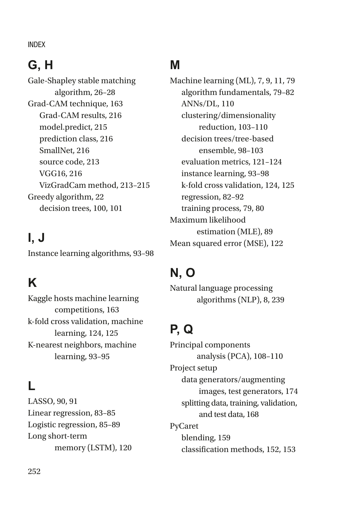# **G, H**

Gale-Shapley stable matching algorithm, 26–28 Grad-CAM technique, 163 Grad-CAM results, 216 model.predict, 215 prediction class, 216 SmallNet, 216 source code, 213 VGG16, 216 VizGradCam method, 213–215 Greedy algorithm, 22 decision trees, 100, 101

# **I, J**

Instance learning algorithms, 93–98

# **K**

Kaggle hosts machine learning competitions, 163 k-fold cross validation, machine learning, 124, 125 K-nearest neighbors, machine learning, 93–95

# **L**

LASSO, 90, 91 Linear regression, 83–85 Logistic regression, 85–89 Long short-term memory (LSTM), 120

## **M**

Machine learning (ML), 7, 9, 11, 79 algorithm fundamentals, 79–82 ANNs/DL, 110 clustering/dimensionality reduction, 103–110 decision trees/tree-based ensemble, 98–103 evaluation metrics, 121–124 instance learning, 93–98 k-fold cross validation, 124, 125 regression, 82–92 training process, 79, 80 Maximum likelihood estimation (MLE), 89 Mean squared error (MSE), 122

# **N, O**

Natural language processing algorithms (NLP), 8, 239

# **P, Q**

Principal components analysis (PCA), 108–110 Project setup data generators/augmenting images, test generators, 174 splitting data, training, validation, and test data, 168 PyCaret blending, 159 classification methods, 152, 153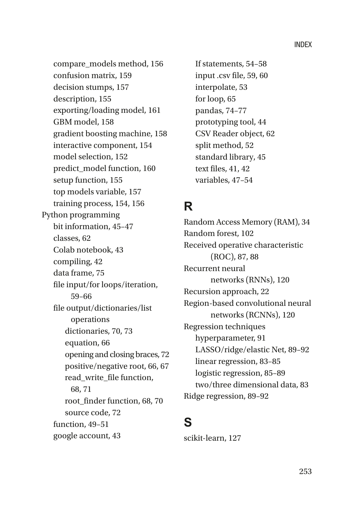compare\_models method, 156 confusion matrix, 159 decision stumps, 157 description, 155 exporting/loading model, 161 GBM model, 158 gradient boosting machine, 158 interactive component, 154 model selection, 152 predict\_model function, 160 setup function, 155 top models variable, 157 training process, 154, 156 Python programming bit information, 45–47 classes, 62 Colab notebook, 43 compiling, 42 data frame, 75 file input/for loops/iteration, 59–66 file output/dictionaries/list operations dictionaries, 70, 73 equation, 66 opening and closing braces, 72 positive/negative root, 66, 67 read\_write\_file function, 68, 71 root\_finder function, 68, 70 source code, 72 function, 49–51 google account, 43

If statements, 54–58 input .csv file, 59, 60 interpolate, 53 for loop, 65 pandas, 74–77 prototyping tool, 44 CSV Reader object, 62 split method, 52 standard library, 45 text files, 41, 42 variables, 47–54

### **R**

Random Access Memory (RAM), 34 Random forest, 102 Received operative characteristic (ROC), 87, 88 Recurrent neural networks (RNNs), 120 Recursion approach, 22 Region-based convolutional neural networks (RCNNs), 120 Regression techniques hyperparameter, 91 LASSO/ridge/elastic Net, 89–92 linear regression, 83–85 logistic regression, 85–89 two/three dimensional data, 83 Ridge regression, 89–92

#### **S**

scikit-learn, 127